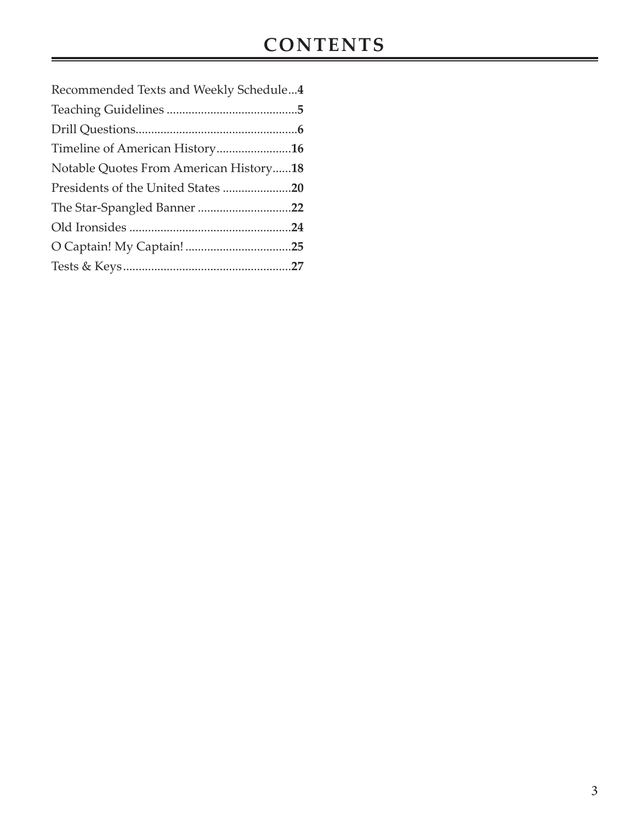| Recommended Texts and Weekly Schedule4 |  |
|----------------------------------------|--|
|                                        |  |
|                                        |  |
| Timeline of American History16         |  |
| Notable Quotes From American History18 |  |
| Presidents of the United States 20     |  |
| The Star-Spangled Banner 22            |  |
|                                        |  |
|                                        |  |
|                                        |  |
|                                        |  |